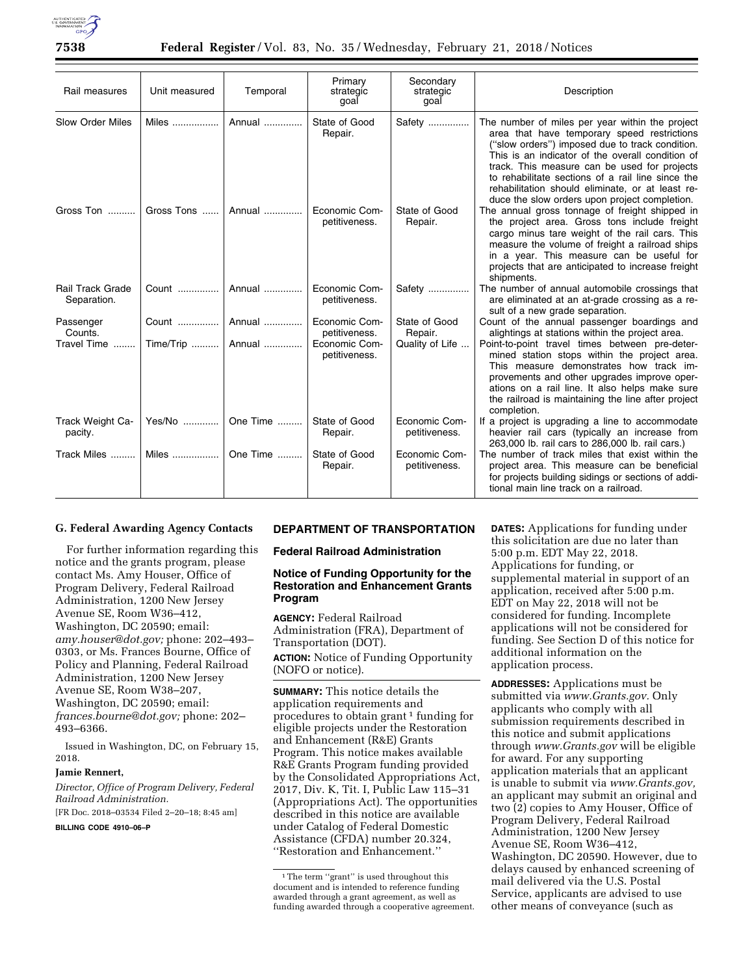

## **7538 Federal Register** / Vol. 83, No. 35 / Wednesday, February 21, 2018 / Notices

| Rail measures                          | Unit measured | Temporal | Primary<br>strategic<br>goal   | Secondary<br>strategic<br>goal | Description                                                                                                                                                                                                                                                                                                                                                                                                     |
|----------------------------------------|---------------|----------|--------------------------------|--------------------------------|-----------------------------------------------------------------------------------------------------------------------------------------------------------------------------------------------------------------------------------------------------------------------------------------------------------------------------------------------------------------------------------------------------------------|
| Slow Order Miles                       | Miles         | Annual   | State of Good<br>Repair.       | Safety                         | The number of miles per year within the project<br>area that have temporary speed restrictions<br>("slow orders") imposed due to track condition.<br>This is an indicator of the overall condition of<br>track. This measure can be used for projects<br>to rehabilitate sections of a rail line since the<br>rehabilitation should eliminate, or at least re-<br>duce the slow orders upon project completion. |
| Gross Ton                              | Gross Tons    | Annual   | Economic Com-<br>petitiveness. | State of Good<br>Repair.       | The annual gross tonnage of freight shipped in<br>the project area. Gross tons include freight<br>cargo minus tare weight of the rail cars. This<br>measure the volume of freight a railroad ships<br>in a year. This measure can be useful for<br>projects that are anticipated to increase freight<br>shipments.                                                                                              |
| <b>Rail Track Grade</b><br>Separation. | Count         | Annual   | Economic Com-<br>petitiveness. | Safety                         | The number of annual automobile crossings that<br>are eliminated at an at-grade crossing as a re-<br>sult of a new grade separation.                                                                                                                                                                                                                                                                            |
| Passenger<br>Counts.                   | Count         | Annual   | Economic Com-<br>petitiveness. | State of Good<br>Repair.       | Count of the annual passenger boardings and<br>alightings at stations within the project area.                                                                                                                                                                                                                                                                                                                  |
| Travel Time                            | Time/Trip     | Annual   | Economic Com-<br>petitiveness. | Quality of Life                | Point-to-point travel times between pre-deter-<br>mined station stops within the project area.<br>This measure demonstrates how track im-<br>provements and other upgrades improve oper-<br>ations on a rail line. It also helps make sure<br>the railroad is maintaining the line after project<br>completion.                                                                                                 |
| Track Weight Ca-<br>pacity.            | Yes/No        | One Time | State of Good<br>Repair.       | Economic Com-<br>petitiveness. | If a project is upgrading a line to accommodate<br>heavier rail cars (typically an increase from<br>263,000 lb. rail cars to 286,000 lb. rail cars.)                                                                                                                                                                                                                                                            |
| Track Miles                            | Miles         | One Time | State of Good<br>Repair.       | Economic Com-<br>petitiveness. | The number of track miles that exist within the<br>project area. This measure can be beneficial<br>for projects building sidings or sections of addi-<br>tional main line track on a railroad.                                                                                                                                                                                                                  |

## **G. Federal Awarding Agency Contacts**

For further information regarding this notice and the grants program, please contact Ms. Amy Houser, Office of Program Delivery, Federal Railroad Administration, 1200 New Jersey Avenue SE, Room W36–412, Washington, DC 20590; email: *[amy.houser@dot.gov;](mailto:amy.houser@dot.gov)* phone: 202–493– 0303, or Ms. Frances Bourne, Office of Policy and Planning, Federal Railroad Administration, 1200 New Jersey Avenue SE, Room W38–207, Washington, DC 20590; email: *[frances.bourne@dot.gov;](mailto:frances.bourne@dot.gov)* phone: 202– 493–6366.

Issued in Washington, DC, on February 15, 2018.

### **Jamie Rennert,**

*Director, Office of Program Delivery, Federal Railroad Administration.*  [FR Doc. 2018–03534 Filed 2–20–18; 8:45 am]

**BILLING CODE 4910–06–P** 

### **DEPARTMENT OF TRANSPORTATION**

#### **Federal Railroad Administration**

# **Notice of Funding Opportunity for the Restoration and Enhancement Grants Program**

**AGENCY:** Federal Railroad Administration (FRA), Department of Transportation (DOT). **ACTION:** Notice of Funding Opportunity (NOFO or notice).

**SUMMARY:** This notice details the application requirements and procedures to obtain grant<sup>1</sup> funding for eligible projects under the Restoration and Enhancement (R&E) Grants Program. This notice makes available R&E Grants Program funding provided by the Consolidated Appropriations Act, 2017, Div. K, Tit. I, Public Law 115–31 (Appropriations Act). The opportunities described in this notice are available under Catalog of Federal Domestic Assistance (CFDA) number 20.324, ''Restoration and Enhancement.''

**DATES:** Applications for funding under this solicitation are due no later than 5:00 p.m. EDT May 22, 2018. Applications for funding, or supplemental material in support of an application, received after 5:00 p.m. EDT on May 22, 2018 will not be considered for funding. Incomplete applications will not be considered for funding. See Section D of this notice for additional information on the application process.

**ADDRESSES:** Applications must be submitted via *[www.Grants.gov.](http://www.Grants.gov)* Only applicants who comply with all submission requirements described in this notice and submit applications through *[www.Grants.gov](http://www.Grants.gov)* will be eligible for award. For any supporting application materials that an applicant is unable to submit via *[www.Grants.gov,](http://www.Grants.gov)*  an applicant may submit an original and two (2) copies to Amy Houser, Office of Program Delivery, Federal Railroad Administration, 1200 New Jersey Avenue SE, Room W36–412, Washington, DC 20590. However, due to delays caused by enhanced screening of mail delivered via the U.S. Postal Service, applicants are advised to use other means of conveyance (such as

<sup>&</sup>lt;sup>1</sup>The term "grant" is used throughout this document and is intended to reference funding awarded through a grant agreement, as well as funding awarded through a cooperative agreement.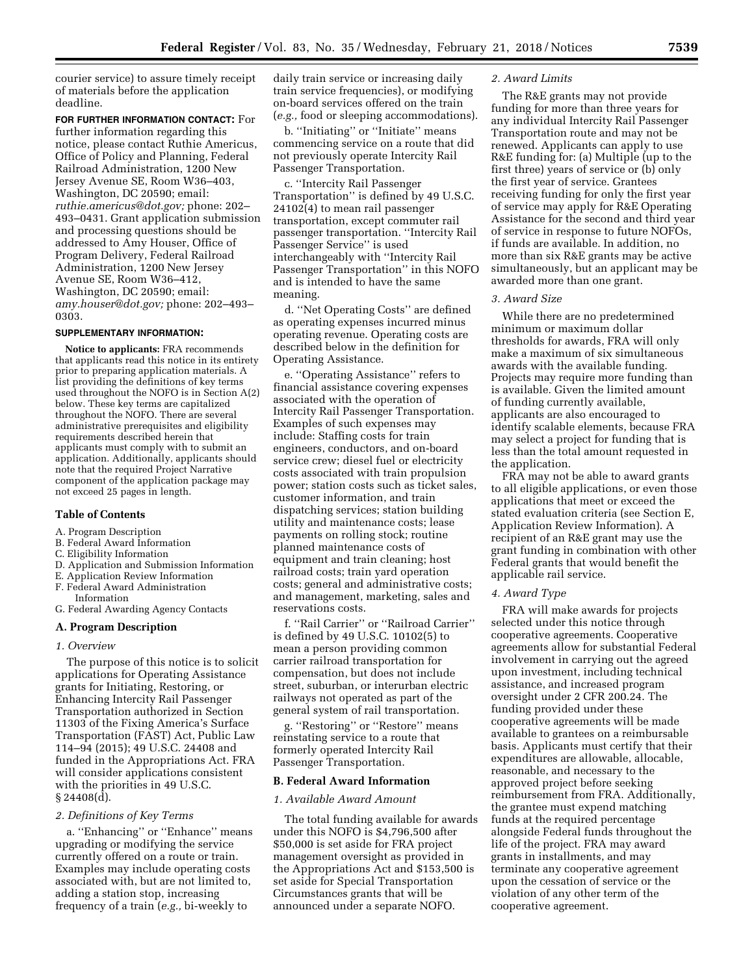courier service) to assure timely receipt of materials before the application deadline.

**FOR FURTHER INFORMATION CONTACT:** For further information regarding this notice, please contact Ruthie Americus, Office of Policy and Planning, Federal Railroad Administration, 1200 New Jersey Avenue SE, Room W36–403, Washington, DC 20590; email: *[ruthie.americus@dot.gov;](mailto:ruthie.americus@dot.gov)* phone: 202– 493–0431. Grant application submission and processing questions should be addressed to Amy Houser, Office of Program Delivery, Federal Railroad Administration, 1200 New Jersey Avenue SE, Room W36–412, Washington, DC 20590; email: *[amy.houser@dot.gov;](mailto:amy.houser@dot.gov)* phone: 202–493– 0303.

#### **SUPPLEMENTARY INFORMATION:**

**Notice to applicants:** FRA recommends that applicants read this notice in its entirety prior to preparing application materials. A list providing the definitions of key terms used throughout the NOFO is in Section A(2) below. These key terms are capitalized throughout the NOFO. There are several administrative prerequisites and eligibility requirements described herein that applicants must comply with to submit an application. Additionally, applicants should note that the required Project Narrative component of the application package may not exceed 25 pages in length.

## **Table of Contents**

- A. Program Description
- B. Federal Award Information
- C. Eligibility Information
- D. Application and Submission Information
- E. Application Review Information
- F. Federal Award Administration Information
- G. Federal Awarding Agency Contacts

### **A. Program Description**

#### *1. Overview*

The purpose of this notice is to solicit applications for Operating Assistance grants for Initiating, Restoring, or Enhancing Intercity Rail Passenger Transportation authorized in Section 11303 of the Fixing America's Surface Transportation (FAST) Act, Public Law 114–94 (2015); 49 U.S.C. 24408 and funded in the Appropriations Act. FRA will consider applications consistent with the priorities in 49 U.S.C. § 24408(d).

# *2. Definitions of Key Terms*

a. ''Enhancing'' or ''Enhance'' means upgrading or modifying the service currently offered on a route or train. Examples may include operating costs associated with, but are not limited to, adding a station stop, increasing frequency of a train (*e.g.,* bi-weekly to

daily train service or increasing daily train service frequencies), or modifying on-board services offered on the train (*e.g.,* food or sleeping accommodations).

b. ''Initiating'' or ''Initiate'' means commencing service on a route that did not previously operate Intercity Rail Passenger Transportation.

c. ''Intercity Rail Passenger Transportation'' is defined by 49 U.S.C. 24102(4) to mean rail passenger transportation, except commuter rail passenger transportation. ''Intercity Rail Passenger Service'' is used interchangeably with ''Intercity Rail Passenger Transportation'' in this NOFO and is intended to have the same meaning.

d. ''Net Operating Costs'' are defined as operating expenses incurred minus operating revenue. Operating costs are described below in the definition for Operating Assistance.

e. ''Operating Assistance'' refers to financial assistance covering expenses associated with the operation of Intercity Rail Passenger Transportation. Examples of such expenses may include: Staffing costs for train engineers, conductors, and on-board service crew; diesel fuel or electricity costs associated with train propulsion power; station costs such as ticket sales, customer information, and train dispatching services; station building utility and maintenance costs; lease payments on rolling stock; routine planned maintenance costs of equipment and train cleaning; host railroad costs; train yard operation costs; general and administrative costs; and management, marketing, sales and reservations costs.

f. ''Rail Carrier'' or ''Railroad Carrier'' is defined by 49 U.S.C. 10102(5) to mean a person providing common carrier railroad transportation for compensation, but does not include street, suburban, or interurban electric railways not operated as part of the general system of rail transportation.

g. ''Restoring'' or ''Restore'' means reinstating service to a route that formerly operated Intercity Rail Passenger Transportation.

#### **B. Federal Award Information**

### *1. Available Award Amount*

The total funding available for awards under this NOFO is \$4,796,500 after \$50,000 is set aside for FRA project management oversight as provided in the Appropriations Act and \$153,500 is set aside for Special Transportation Circumstances grants that will be announced under a separate NOFO.

#### *2. Award Limits*

The R&E grants may not provide funding for more than three years for any individual Intercity Rail Passenger Transportation route and may not be renewed. Applicants can apply to use R&E funding for: (a) Multiple (up to the first three) years of service or (b) only the first year of service. Grantees receiving funding for only the first year of service may apply for R&E Operating Assistance for the second and third year of service in response to future NOFOs, if funds are available. In addition, no more than six R&E grants may be active simultaneously, but an applicant may be awarded more than one grant.

## *3. Award Size*

While there are no predetermined minimum or maximum dollar thresholds for awards, FRA will only make a maximum of six simultaneous awards with the available funding. Projects may require more funding than is available. Given the limited amount of funding currently available, applicants are also encouraged to identify scalable elements, because FRA may select a project for funding that is less than the total amount requested in the application.

FRA may not be able to award grants to all eligible applications, or even those applications that meet or exceed the stated evaluation criteria (see Section E, Application Review Information). A recipient of an R&E grant may use the grant funding in combination with other Federal grants that would benefit the applicable rail service.

### *4. Award Type*

FRA will make awards for projects selected under this notice through cooperative agreements. Cooperative agreements allow for substantial Federal involvement in carrying out the agreed upon investment, including technical assistance, and increased program oversight under 2 CFR 200.24. The funding provided under these cooperative agreements will be made available to grantees on a reimbursable basis. Applicants must certify that their expenditures are allowable, allocable, reasonable, and necessary to the approved project before seeking reimbursement from FRA. Additionally, the grantee must expend matching funds at the required percentage alongside Federal funds throughout the life of the project. FRA may award grants in installments, and may terminate any cooperative agreement upon the cessation of service or the violation of any other term of the cooperative agreement.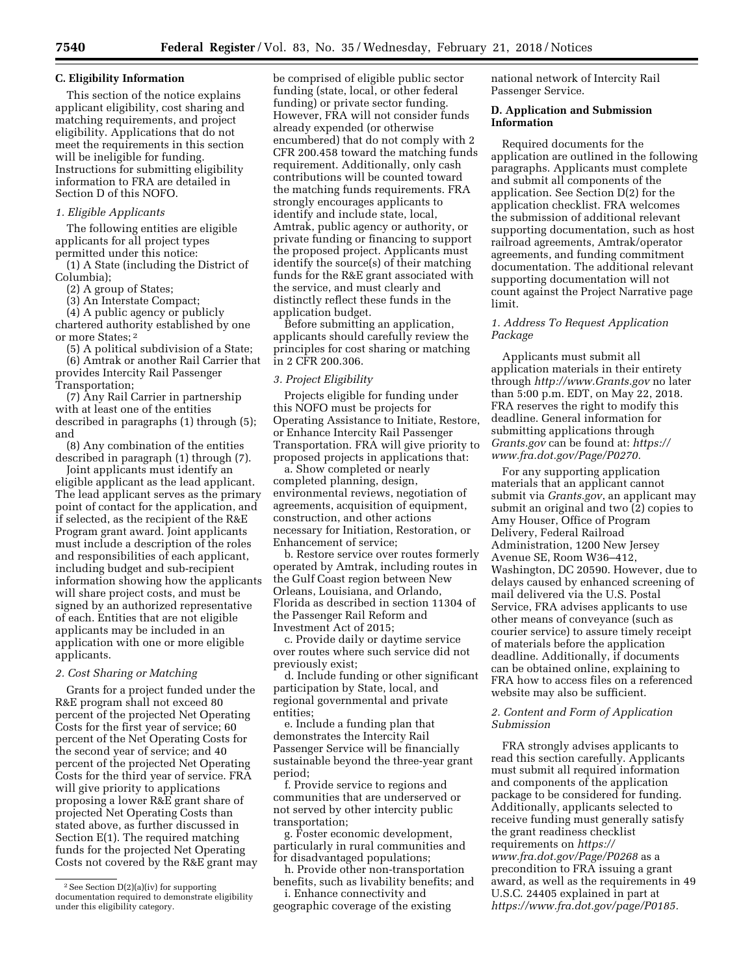### **C. Eligibility Information**

This section of the notice explains applicant eligibility, cost sharing and matching requirements, and project eligibility. Applications that do not meet the requirements in this section will be ineligible for funding. Instructions for submitting eligibility information to FRA are detailed in Section D of this NOFO.

### *1. Eligible Applicants*

The following entities are eligible applicants for all project types permitted under this notice:

(1) A State (including the District of Columbia);

(2) A group of States;

(3) An Interstate Compact;

(4) A public agency or publicly chartered authority established by one or more States; 2

(5) A political subdivision of a State; (6) Amtrak or another Rail Carrier that provides Intercity Rail Passenger Transportation;

(7) Any Rail Carrier in partnership with at least one of the entities described in paragraphs (1) through (5); and

(8) Any combination of the entities described in paragraph (1) through (7).

Joint applicants must identify an eligible applicant as the lead applicant. The lead applicant serves as the primary point of contact for the application, and if selected, as the recipient of the R&E Program grant award. Joint applicants must include a description of the roles and responsibilities of each applicant, including budget and sub-recipient information showing how the applicants will share project costs, and must be signed by an authorized representative of each. Entities that are not eligible applicants may be included in an application with one or more eligible applicants.

### *2. Cost Sharing or Matching*

Grants for a project funded under the R&E program shall not exceed 80 percent of the projected Net Operating Costs for the first year of service; 60 percent of the Net Operating Costs for the second year of service; and 40 percent of the projected Net Operating Costs for the third year of service. FRA will give priority to applications proposing a lower R&E grant share of projected Net Operating Costs than stated above, as further discussed in Section E(1). The required matching funds for the projected Net Operating Costs not covered by the R&E grant may

be comprised of eligible public sector funding (state, local, or other federal funding) or private sector funding. However, FRA will not consider funds already expended (or otherwise encumbered) that do not comply with 2 CFR 200.458 toward the matching funds requirement. Additionally, only cash contributions will be counted toward the matching funds requirements. FRA strongly encourages applicants to identify and include state, local, Amtrak, public agency or authority, or private funding or financing to support the proposed project. Applicants must identify the source(s) of their matching funds for the R&E grant associated with the service, and must clearly and distinctly reflect these funds in the application budget.

Before submitting an application, applicants should carefully review the principles for cost sharing or matching in 2 CFR 200.306.

### *3. Project Eligibility*

Projects eligible for funding under this NOFO must be projects for Operating Assistance to Initiate, Restore, or Enhance Intercity Rail Passenger Transportation. FRA will give priority to proposed projects in applications that:

a. Show completed or nearly completed planning, design, environmental reviews, negotiation of agreements, acquisition of equipment, construction, and other actions necessary for Initiation, Restoration, or Enhancement of service;

b. Restore service over routes formerly operated by Amtrak, including routes in the Gulf Coast region between New Orleans, Louisiana, and Orlando, Florida as described in section 11304 of the Passenger Rail Reform and Investment Act of 2015;

c. Provide daily or daytime service over routes where such service did not previously exist;

d. Include funding or other significant participation by State, local, and regional governmental and private entities;

e. Include a funding plan that demonstrates the Intercity Rail Passenger Service will be financially sustainable beyond the three-year grant period;

f. Provide service to regions and communities that are underserved or not served by other intercity public transportation;

g. Foster economic development, particularly in rural communities and for disadvantaged populations;

h. Provide other non-transportation benefits, such as livability benefits; and

i. Enhance connectivity and geographic coverage of the existing

national network of Intercity Rail Passenger Service.

## **D. Application and Submission Information**

Required documents for the application are outlined in the following paragraphs. Applicants must complete and submit all components of the application. See Section D(2) for the application checklist. FRA welcomes the submission of additional relevant supporting documentation, such as host railroad agreements, Amtrak/operator agreements, and funding commitment documentation. The additional relevant supporting documentation will not count against the Project Narrative page limit.

## *1. Address To Request Application Package*

Applicants must submit all application materials in their entirety through *<http://www.Grants.gov>*no later than 5:00 p.m. EDT, on May 22, 2018. FRA reserves the right to modify this deadline. General information for submitting applications through *Grants.gov* can be found at: *[https://](https://www.fra.dot.gov/Page/P0270) [www.fra.dot.gov/Page/P0270.](https://www.fra.dot.gov/Page/P0270)* 

For any supporting application materials that an applicant cannot submit via *Grants.gov*, an applicant may submit an original and two (2) copies to Amy Houser, Office of Program Delivery, Federal Railroad Administration, 1200 New Jersey Avenue SE, Room W36–412, Washington, DC 20590. However, due to delays caused by enhanced screening of mail delivered via the U.S. Postal Service, FRA advises applicants to use other means of conveyance (such as courier service) to assure timely receipt of materials before the application deadline. Additionally, if documents can be obtained online, explaining to FRA how to access files on a referenced website may also be sufficient.

### *2. Content and Form of Application Submission*

FRA strongly advises applicants to read this section carefully. Applicants must submit all required information and components of the application package to be considered for funding. Additionally, applicants selected to receive funding must generally satisfy the grant readiness checklist requirements on *[https://](https://www.fra.dot.gov/Page/P0268) [www.fra.dot.gov/Page/P0268](https://www.fra.dot.gov/Page/P0268)* as a precondition to FRA issuing a grant award, as well as the requirements in 49 U.S.C. 24405 explained in part at *[https://www.fra.dot.gov/page/P0185.](https://www.fra.dot.gov/page/P0185)* 

<sup>2</sup>See Section D(2)(a)(iv) for supporting documentation required to demonstrate eligibility under this eligibility category.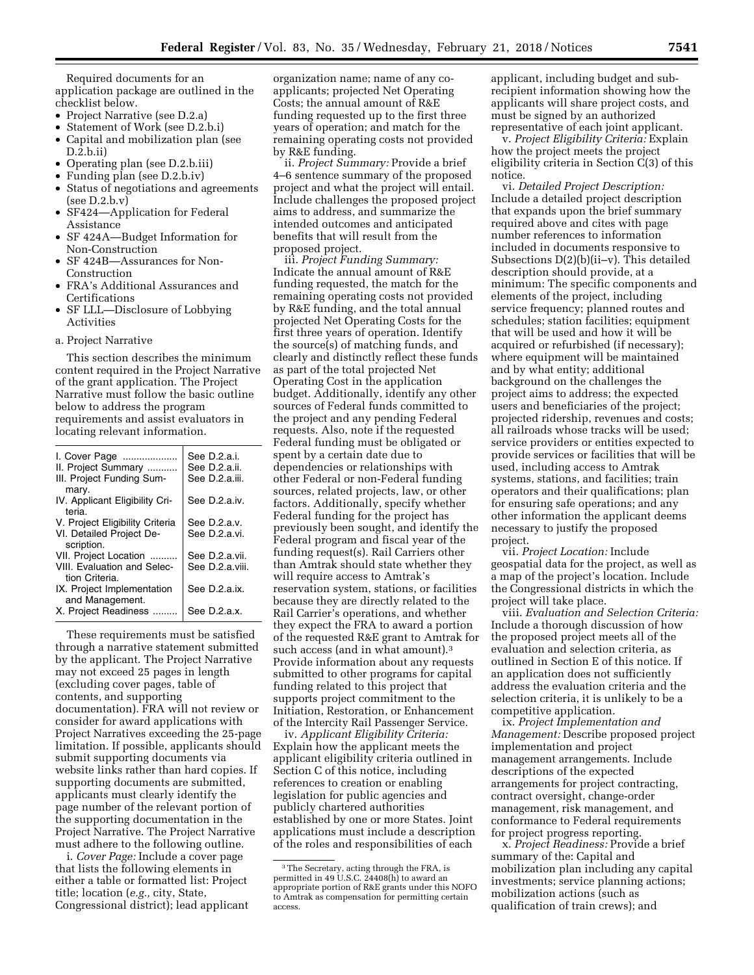Required documents for an application package are outlined in the checklist below.

- Project Narrative (see D.2.a)
- Statement of Work (see D.2.b.i)
- Capital and mobilization plan (see D.2.b.ii)
- Operating plan (see D.2.b.iii)
- Funding plan (see D.2.b.iv)
- Status of negotiations and agreements (see D.2.b.v)
- SF424—Application for Federal Assistance
- SF 424A—Budget Information for Non-Construction
- SF 424B—Assurances for Non-Construction
- FRA's Additional Assurances and Certifications
- SF LLL—Disclosure of Lobbying Activities

#### a. Project Narrative

This section describes the minimum content required in the Project Narrative of the grant application. The Project Narrative must follow the basic outline below to address the program requirements and assist evaluators in locating relevant information.

| I. Cover Page                   | See D.2.a.i.    |
|---------------------------------|-----------------|
| II. Project Summary             | See D.2.a.ii.   |
| III. Project Funding Sum-       | See D.2.a.iii.  |
|                                 |                 |
| mary.                           |                 |
| IV. Applicant Eligibility Cri-  | See D.2.a.iv.   |
| teria.                          |                 |
| V. Project Eligibility Criteria | See D.2.a.v.    |
| VI. Detailed Project De-        | See D.2.a.vi.   |
| scription.                      |                 |
| VII. Project Location           | See D.2.a.vii.  |
| VIII. Evaluation and Selec-     | See D.2.a.viii. |
| tion Criteria.                  |                 |
| IX. Project Implementation      | See D.2.a.ix.   |
| and Management.                 |                 |
|                                 |                 |
| X. Project Readiness            | See D.2.a.x.    |
|                                 |                 |

These requirements must be satisfied through a narrative statement submitted by the applicant. The Project Narrative may not exceed 25 pages in length (excluding cover pages, table of contents, and supporting documentation). FRA will not review or consider for award applications with Project Narratives exceeding the 25-page limitation. If possible, applicants should submit supporting documents via website links rather than hard copies. If supporting documents are submitted, applicants must clearly identify the page number of the relevant portion of the supporting documentation in the Project Narrative. The Project Narrative must adhere to the following outline.

i. *Cover Page:* Include a cover page that lists the following elements in either a table or formatted list: Project title; location (*e.g.,* city, State, Congressional district); lead applicant organization name; name of any coapplicants; projected Net Operating Costs; the annual amount of R&E funding requested up to the first three years of operation; and match for the remaining operating costs not provided by R&E funding.

ii. *Project Summary:* Provide a brief 4–6 sentence summary of the proposed project and what the project will entail. Include challenges the proposed project aims to address, and summarize the intended outcomes and anticipated benefits that will result from the proposed project.

iii. *Project Funding Summary:*  Indicate the annual amount of R&E funding requested, the match for the remaining operating costs not provided by R&E funding, and the total annual projected Net Operating Costs for the first three years of operation. Identify the source(s) of matching funds, and clearly and distinctly reflect these funds as part of the total projected Net Operating Cost in the application budget. Additionally, identify any other sources of Federal funds committed to the project and any pending Federal requests. Also, note if the requested Federal funding must be obligated or spent by a certain date due to dependencies or relationships with other Federal or non-Federal funding sources, related projects, law, or other factors. Additionally, specify whether Federal funding for the project has previously been sought, and identify the Federal program and fiscal year of the funding request(s). Rail Carriers other than Amtrak should state whether they will require access to Amtrak's reservation system, stations, or facilities because they are directly related to the Rail Carrier's operations, and whether they expect the FRA to award a portion of the requested R&E grant to Amtrak for such access (and in what amount).<sup>3</sup> Provide information about any requests submitted to other programs for capital funding related to this project that supports project commitment to the Initiation, Restoration, or Enhancement of the Intercity Rail Passenger Service.

iv. *Applicant Eligibility Criteria:*  Explain how the applicant meets the applicant eligibility criteria outlined in Section C of this notice, including references to creation or enabling legislation for public agencies and publicly chartered authorities established by one or more States. Joint applications must include a description of the roles and responsibilities of each

applicant, including budget and subrecipient information showing how the applicants will share project costs, and must be signed by an authorized representative of each joint applicant.

v. *Project Eligibility Criteria:* Explain how the project meets the project eligibility criteria in Section C(3) of this notice.

vi. *Detailed Project Description:*  Include a detailed project description that expands upon the brief summary required above and cites with page number references to information included in documents responsive to Subsections D(2)(b)(ii–v). This detailed description should provide, at a minimum: The specific components and elements of the project, including service frequency; planned routes and schedules; station facilities; equipment that will be used and how it will be acquired or refurbished (if necessary); where equipment will be maintained and by what entity; additional background on the challenges the project aims to address; the expected users and beneficiaries of the project; projected ridership, revenues and costs; all railroads whose tracks will be used; service providers or entities expected to provide services or facilities that will be used, including access to Amtrak systems, stations, and facilities; train operators and their qualifications; plan for ensuring safe operations; and any other information the applicant deems necessary to justify the proposed project.

vii. *Project Location:* Include geospatial data for the project, as well as a map of the project's location. Include the Congressional districts in which the project will take place.

viii. *Evaluation and Selection Criteria:*  Include a thorough discussion of how the proposed project meets all of the evaluation and selection criteria, as outlined in Section E of this notice. If an application does not sufficiently address the evaluation criteria and the selection criteria, it is unlikely to be a competitive application.

ix. *Project Implementation and Management:* Describe proposed project implementation and project management arrangements. Include descriptions of the expected arrangements for project contracting, contract oversight, change-order management, risk management, and conformance to Federal requirements for project progress reporting.

x. *Project Readiness:* Provide a brief summary of the: Capital and mobilization plan including any capital investments; service planning actions; mobilization actions (such as qualification of train crews); and

<sup>3</sup>The Secretary, acting through the FRA, is permitted in 49 U.S.C. 24408(h) to award an appropriate portion of R&E grants under this NOFO to Amtrak as compensation for permitting certain access.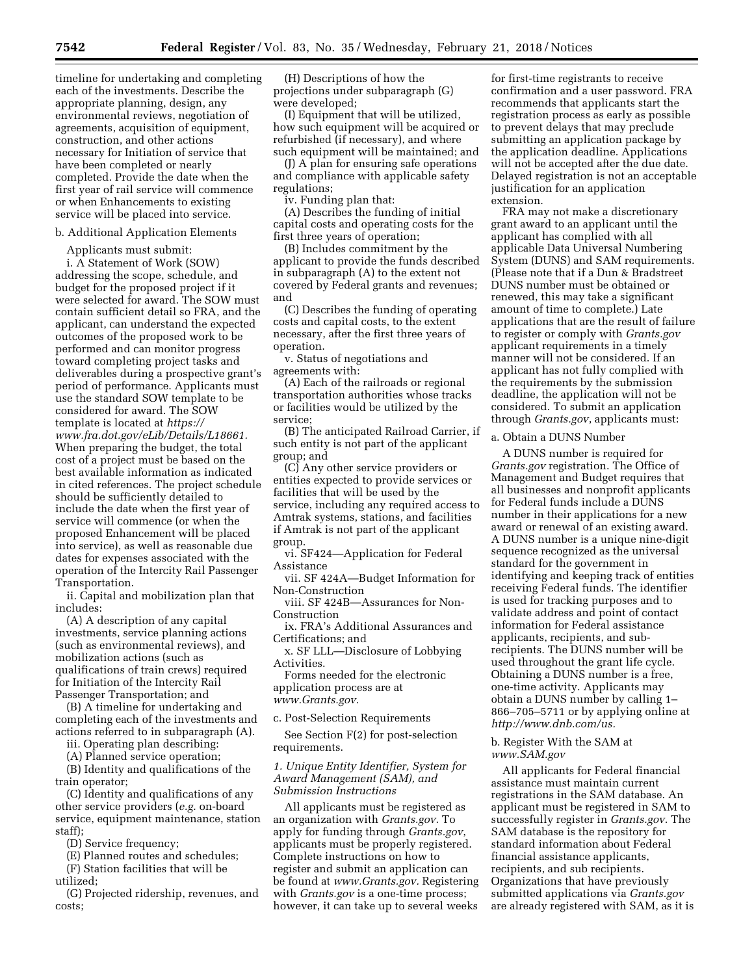timeline for undertaking and completing each of the investments. Describe the appropriate planning, design, any environmental reviews, negotiation of agreements, acquisition of equipment, construction, and other actions necessary for Initiation of service that have been completed or nearly completed. Provide the date when the first year of rail service will commence or when Enhancements to existing service will be placed into service.

### b. Additional Application Elements

Applicants must submit:

i. A Statement of Work (SOW) addressing the scope, schedule, and budget for the proposed project if it were selected for award. The SOW must contain sufficient detail so FRA, and the applicant, can understand the expected outcomes of the proposed work to be performed and can monitor progress toward completing project tasks and deliverables during a prospective grant's period of performance. Applicants must use the standard SOW template to be considered for award. The SOW template is located at *[https://](https://www.fra.dot.gov/eLib/Details/L18661) [www.fra.dot.gov/eLib/Details/L18661.](https://www.fra.dot.gov/eLib/Details/L18661)*  When preparing the budget, the total cost of a project must be based on the best available information as indicated in cited references. The project schedule should be sufficiently detailed to include the date when the first year of service will commence (or when the proposed Enhancement will be placed into service), as well as reasonable due dates for expenses associated with the operation of the Intercity Rail Passenger Transportation.

ii. Capital and mobilization plan that includes:

(A) A description of any capital investments, service planning actions (such as environmental reviews), and mobilization actions (such as qualifications of train crews) required for Initiation of the Intercity Rail Passenger Transportation; and

(B) A timeline for undertaking and completing each of the investments and actions referred to in subparagraph (A).

iii. Operating plan describing:

(A) Planned service operation; (B) Identity and qualifications of the train operator;

(C) Identity and qualifications of any other service providers (*e.g.* on-board service, equipment maintenance, station staff);

(D) Service frequency;

(E) Planned routes and schedules;

(F) Station facilities that will be utilized;

(G) Projected ridership, revenues, and costs;

(H) Descriptions of how the projections under subparagraph (G) were developed;

(I) Equipment that will be utilized, how such equipment will be acquired or refurbished (if necessary), and where such equipment will be maintained; and

(J) A plan for ensuring safe operations and compliance with applicable safety regulations;

iv. Funding plan that:

(A) Describes the funding of initial capital costs and operating costs for the first three years of operation;

(B) Includes commitment by the applicant to provide the funds described in subparagraph (A) to the extent not covered by Federal grants and revenues; and

(C) Describes the funding of operating costs and capital costs, to the extent necessary, after the first three years of operation.

v. Status of negotiations and agreements with:

(A) Each of the railroads or regional transportation authorities whose tracks or facilities would be utilized by the service;

(B) The anticipated Railroad Carrier, if such entity is not part of the applicant group; and

(C) Any other service providers or entities expected to provide services or facilities that will be used by the service, including any required access to Amtrak systems, stations, and facilities if Amtrak is not part of the applicant group.

vi. SF424—Application for Federal Assistance

vii. SF 424A—Budget Information for Non-Construction

viii. SF 424B—Assurances for Non-Construction

ix. FRA's Additional Assurances and Certifications; and

x. SF LLL—Disclosure of Lobbying Activities.

Forms needed for the electronic application process are at *[www.Grants.gov.](http://www.Grants.gov)* 

c. Post-Selection Requirements

See Section F(2) for post-selection requirements.

# *1. Unique Entity Identifier, System for Award Management (SAM), and Submission Instructions*

All applicants must be registered as an organization with *Grants.gov*. To apply for funding through *Grants.gov*, applicants must be properly registered. Complete instructions on how to register and submit an application can be found at *[www.Grants.gov.](http://www.Grants.gov)* Registering with *Grants.gov* is a one-time process; however, it can take up to several weeks

for first-time registrants to receive confirmation and a user password. FRA recommends that applicants start the registration process as early as possible to prevent delays that may preclude submitting an application package by the application deadline. Applications will not be accepted after the due date. Delayed registration is not an acceptable justification for an application extension.

FRA may not make a discretionary grant award to an applicant until the applicant has complied with all applicable Data Universal Numbering System (DUNS) and SAM requirements. (Please note that if a Dun & Bradstreet DUNS number must be obtained or renewed, this may take a significant amount of time to complete.) Late applications that are the result of failure to register or comply with *Grants.gov*  applicant requirements in a timely manner will not be considered. If an applicant has not fully complied with the requirements by the submission deadline, the application will not be considered. To submit an application through *Grants.gov*, applicants must:

a. Obtain a DUNS Number

A DUNS number is required for *Grants.gov* registration. The Office of Management and Budget requires that all businesses and nonprofit applicants for Federal funds include a DUNS number in their applications for a new award or renewal of an existing award. A DUNS number is a unique nine-digit sequence recognized as the universal standard for the government in identifying and keeping track of entities receiving Federal funds. The identifier is used for tracking purposes and to validate address and point of contact information for Federal assistance applicants, recipients, and subrecipients. The DUNS number will be used throughout the grant life cycle. Obtaining a DUNS number is a free, one-time activity. Applicants may obtain a DUNS number by calling 1– 866–705–5711 or by applying online at *[http://www.dnb.com/us.](http://www.dnb.com/us)* 

## b. Register With the SAM at *[www.SAM.gov](http://www.SAM.gov)*

All applicants for Federal financial assistance must maintain current registrations in the SAM database. An applicant must be registered in SAM to successfully register in *Grants.gov*. The SAM database is the repository for standard information about Federal financial assistance applicants, recipients, and sub recipients. Organizations that have previously submitted applications via *Grants.gov*  are already registered with SAM, as it is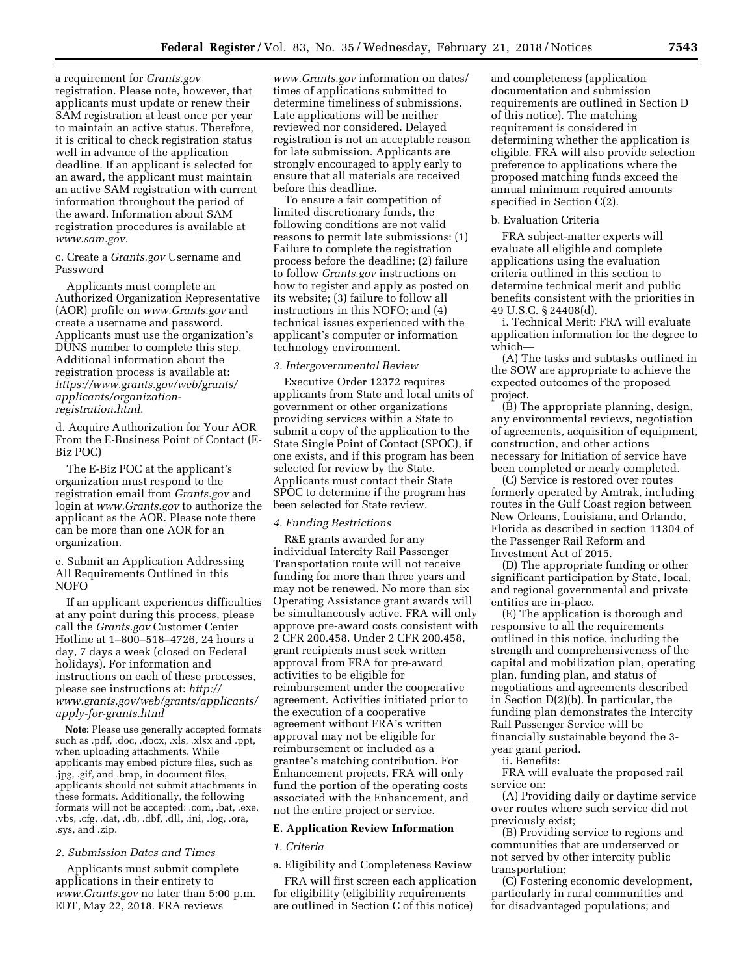a requirement for *Grants.gov*  registration. Please note, however, that applicants must update or renew their SAM registration at least once per year to maintain an active status. Therefore, it is critical to check registration status well in advance of the application deadline. If an applicant is selected for an award, the applicant must maintain an active SAM registration with current information throughout the period of the award. Information about SAM registration procedures is available at *[www.sam.gov.](http://www.sam.gov)* 

c. Create a *Grants.gov* Username and Password

Applicants must complete an Authorized Organization Representative (AOR) profile on *[www.Grants.gov](http://www.Grants.gov)* and create a username and password. Applicants must use the organization's DUNS number to complete this step. Additional information about the registration process is available at: *[https://www.grants.gov/web/grants/](https://www.grants.gov/web/grants/applicants/organization-registration.html) [applicants/organization](https://www.grants.gov/web/grants/applicants/organization-registration.html)[registration.html.](https://www.grants.gov/web/grants/applicants/organization-registration.html)* 

d. Acquire Authorization for Your AOR From the E-Business Point of Contact (E-Biz POC)

The E-Biz POC at the applicant's organization must respond to the registration email from *Grants.gov* and login at *[www.Grants.gov](http://www.Grants.gov)* to authorize the applicant as the AOR. Please note there can be more than one AOR for an organization.

e. Submit an Application Addressing All Requirements Outlined in this NOFO

If an applicant experiences difficulties at any point during this process, please call the *Grants.gov* Customer Center Hotline at 1–800–518–4726, 24 hours a day, 7 days a week (closed on Federal holidays). For information and instructions on each of these processes, please see instructions at: *[http://](http://www.grants.gov/web/grants/applicants/apply-for-grants.html) [www.grants.gov/web/grants/applicants/](http://www.grants.gov/web/grants/applicants/apply-for-grants.html)  [apply-for-grants.html](http://www.grants.gov/web/grants/applicants/apply-for-grants.html)* 

**Note:** Please use generally accepted formats such as .pdf, .doc, .docx, .xls, .xlsx and .ppt, when uploading attachments. While applicants may embed picture files, such as .jpg, .gif, and .bmp, in document files, applicants should not submit attachments in these formats. Additionally, the following formats will not be accepted: .com, .bat, .exe, .vbs, .cfg, .dat, .db, .dbf, .dll, .ini, .log, .ora, .sys, and .zip.

### *2. Submission Dates and Times*

Applicants must submit complete applications in their entirety to *[www.Grants.gov](http://www.Grants.gov)* no later than 5:00 p.m. EDT, May 22, 2018. FRA reviews

*[www.Grants.gov](http://www.Grants.gov)* information on dates/ times of applications submitted to determine timeliness of submissions. Late applications will be neither reviewed nor considered. Delayed registration is not an acceptable reason for late submission. Applicants are strongly encouraged to apply early to ensure that all materials are received before this deadline.

To ensure a fair competition of limited discretionary funds, the following conditions are not valid reasons to permit late submissions: (1) Failure to complete the registration process before the deadline; (2) failure to follow *Grants.gov* instructions on how to register and apply as posted on its website; (3) failure to follow all instructions in this NOFO; and (4) technical issues experienced with the applicant's computer or information technology environment.

#### *3. Intergovernmental Review*

Executive Order 12372 requires applicants from State and local units of government or other organizations providing services within a State to submit a copy of the application to the State Single Point of Contact (SPOC), if one exists, and if this program has been selected for review by the State. Applicants must contact their State SPOC to determine if the program has been selected for State review.

#### *4. Funding Restrictions*

R&E grants awarded for any individual Intercity Rail Passenger Transportation route will not receive funding for more than three years and may not be renewed. No more than six Operating Assistance grant awards will be simultaneously active. FRA will only approve pre-award costs consistent with 2 CFR 200.458. Under 2 CFR 200.458, grant recipients must seek written approval from FRA for pre-award activities to be eligible for reimbursement under the cooperative agreement. Activities initiated prior to the execution of a cooperative agreement without FRA's written approval may not be eligible for reimbursement or included as a grantee's matching contribution. For Enhancement projects, FRA will only fund the portion of the operating costs associated with the Enhancement, and not the entire project or service.

## **E. Application Review Information**

#### *1. Criteria*

a. Eligibility and Completeness Review

FRA will first screen each application for eligibility (eligibility requirements are outlined in Section C of this notice)

and completeness (application documentation and submission requirements are outlined in Section D of this notice). The matching requirement is considered in determining whether the application is eligible. FRA will also provide selection preference to applications where the proposed matching funds exceed the annual minimum required amounts specified in Section C(2).

### b. Evaluation Criteria

FRA subject-matter experts will evaluate all eligible and complete applications using the evaluation criteria outlined in this section to determine technical merit and public benefits consistent with the priorities in 49 U.S.C. § 24408(d).

i. Technical Merit: FRA will evaluate application information for the degree to which—

(A) The tasks and subtasks outlined in the SOW are appropriate to achieve the expected outcomes of the proposed project.

(B) The appropriate planning, design, any environmental reviews, negotiation of agreements, acquisition of equipment, construction, and other actions necessary for Initiation of service have been completed or nearly completed.

(C) Service is restored over routes formerly operated by Amtrak, including routes in the Gulf Coast region between New Orleans, Louisiana, and Orlando, Florida as described in section 11304 of the Passenger Rail Reform and Investment Act of 2015.

(D) The appropriate funding or other significant participation by State, local, and regional governmental and private entities are in-place.

(E) The application is thorough and responsive to all the requirements outlined in this notice, including the strength and comprehensiveness of the capital and mobilization plan, operating plan, funding plan, and status of negotiations and agreements described in Section D(2)(b). In particular, the funding plan demonstrates the Intercity Rail Passenger Service will be financially sustainable beyond the 3 year grant period.

ii. Benefits:

FRA will evaluate the proposed rail service on:

(A) Providing daily or daytime service over routes where such service did not previously exist;

(B) Providing service to regions and communities that are underserved or not served by other intercity public transportation;

(C) Fostering economic development, particularly in rural communities and for disadvantaged populations; and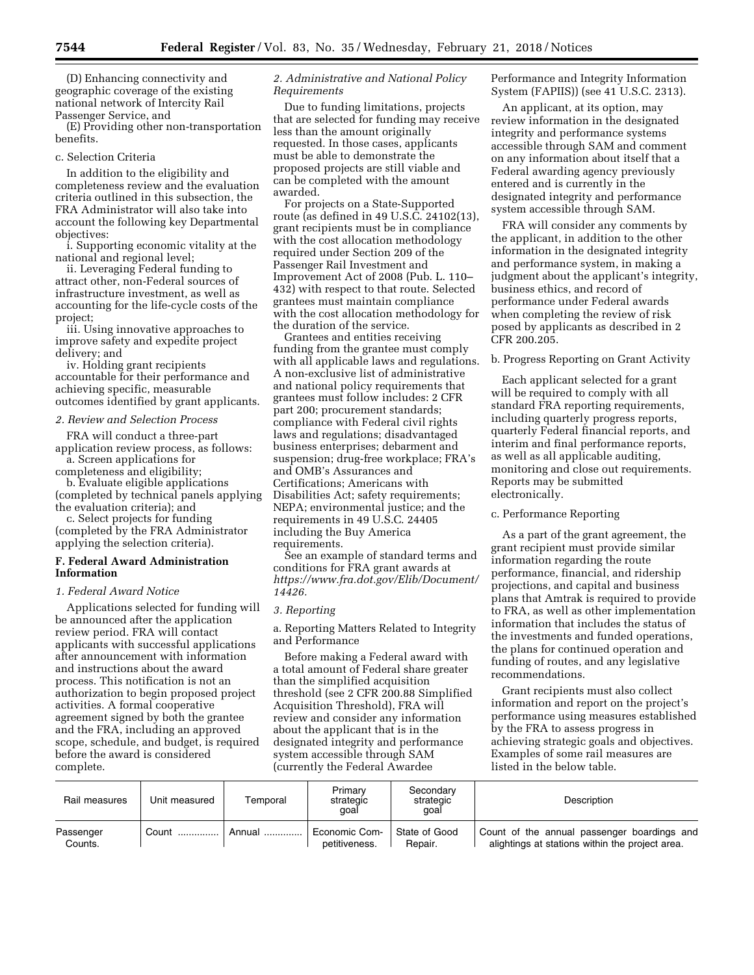(D) Enhancing connectivity and geographic coverage of the existing national network of Intercity Rail Passenger Service, and

(E) Providing other non-transportation benefits.

# c. Selection Criteria

In addition to the eligibility and completeness review and the evaluation criteria outlined in this subsection, the FRA Administrator will also take into account the following key Departmental objectives:

i. Supporting economic vitality at the national and regional level;

ii. Leveraging Federal funding to attract other, non-Federal sources of infrastructure investment, as well as accounting for the life-cycle costs of the project;

iii. Using innovative approaches to improve safety and expedite project delivery; and

iv. Holding grant recipients accountable for their performance and achieving specific, measurable outcomes identified by grant applicants.

## *2. Review and Selection Process*

FRA will conduct a three-part application review process, as follows: a. Screen applications for

completeness and eligibility; b. Evaluate eligible applications (completed by technical panels applying the evaluation criteria); and

c. Select projects for funding (completed by the FRA Administrator applying the selection criteria).

# **F. Federal Award Administration Information**

### *1. Federal Award Notice*

Applications selected for funding will be announced after the application review period. FRA will contact applicants with successful applications after announcement with information and instructions about the award process. This notification is not an authorization to begin proposed project activities. A formal cooperative agreement signed by both the grantee and the FRA, including an approved scope, schedule, and budget, is required before the award is considered complete.

## *2. Administrative and National Policy Requirements*

Due to funding limitations, projects that are selected for funding may receive less than the amount originally requested. In those cases, applicants must be able to demonstrate the proposed projects are still viable and can be completed with the amount awarded.

For projects on a State-Supported route (as defined in 49 U.S.C. 24102(13), grant recipients must be in compliance with the cost allocation methodology required under Section 209 of the Passenger Rail Investment and Improvement Act of 2008 (Pub. L. 110– 432) with respect to that route. Selected grantees must maintain compliance with the cost allocation methodology for the duration of the service.

Grantees and entities receiving funding from the grantee must comply with all applicable laws and regulations. A non-exclusive list of administrative and national policy requirements that grantees must follow includes: 2 CFR part 200; procurement standards; compliance with Federal civil rights laws and regulations; disadvantaged business enterprises; debarment and suspension; drug-free workplace; FRA's and OMB's Assurances and Certifications; Americans with Disabilities Act; safety requirements; NEPA; environmental justice; and the requirements in 49 U.S.C. 24405 including the Buy America requirements.

See an example of standard terms and conditions for FRA grant awards at *[https://www.fra.dot.gov/Elib/Document/](https://www.fra.dot.gov/Elib/Document/14426)  [14426.](https://www.fra.dot.gov/Elib/Document/14426)* 

## *3. Reporting*

a. Reporting Matters Related to Integrity and Performance

Before making a Federal award with a total amount of Federal share greater than the simplified acquisition threshold (see 2 CFR 200.88 Simplified Acquisition Threshold), FRA will review and consider any information about the applicant that is in the designated integrity and performance system accessible through SAM (currently the Federal Awardee

# Performance and Integrity Information System (FAPIIS)) (see 41 U.S.C. 2313).

An applicant, at its option, may review information in the designated integrity and performance systems accessible through SAM and comment on any information about itself that a Federal awarding agency previously entered and is currently in the designated integrity and performance system accessible through SAM.

FRA will consider any comments by the applicant, in addition to the other information in the designated integrity and performance system, in making a judgment about the applicant's integrity, business ethics, and record of performance under Federal awards when completing the review of risk posed by applicants as described in 2 CFR 200.205.

b. Progress Reporting on Grant Activity

Each applicant selected for a grant will be required to comply with all standard FRA reporting requirements, including quarterly progress reports, quarterly Federal financial reports, and interim and final performance reports, as well as all applicable auditing, monitoring and close out requirements. Reports may be submitted electronically.

# c. Performance Reporting

As a part of the grant agreement, the grant recipient must provide similar information regarding the route performance, financial, and ridership projections, and capital and business plans that Amtrak is required to provide to FRA, as well as other implementation information that includes the status of the investments and funded operations, the plans for continued operation and funding of routes, and any legislative recommendations.

Grant recipients must also collect information and report on the project's performance using measures established by the FRA to assess progress in achieving strategic goals and objectives. Examples of some rail measures are listed in the below table.

| Rail measures        | Unit measured | Temporal | Primary<br>strategic<br>qoal   | Secondary<br>strategic<br>qoal | Description                                                                                    |
|----------------------|---------------|----------|--------------------------------|--------------------------------|------------------------------------------------------------------------------------------------|
| Passenger<br>Counts. | Count         | Annual   | Economic Com-<br>petitiveness. | State of Good<br>Repair.       | Count of the annual passenger boardings and<br>alightings at stations within the project area. |